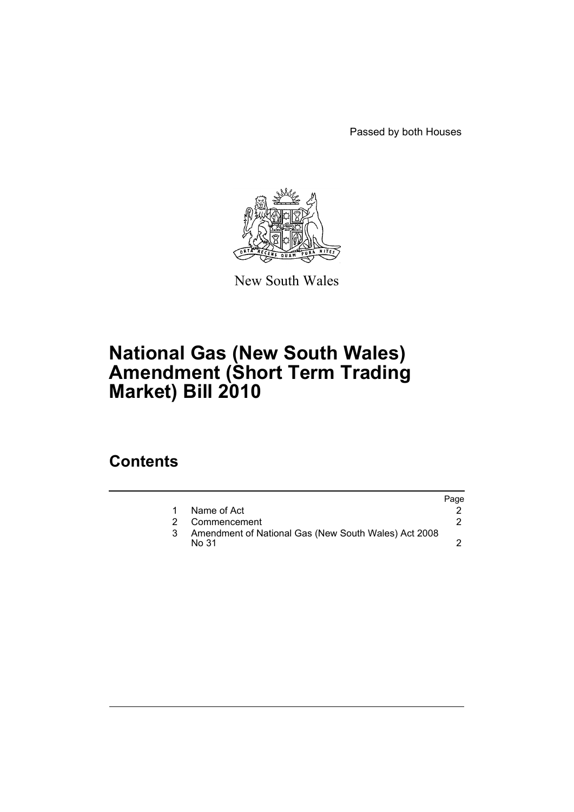Passed by both Houses



New South Wales

# **National Gas (New South Wales) Amendment (Short Term Trading Market) Bill 2010**

### **Contents**

|    |                                                               | Page |
|----|---------------------------------------------------------------|------|
|    | Name of Act                                                   |      |
| 2. | Commencement                                                  |      |
|    | Amendment of National Gas (New South Wales) Act 2008<br>No 31 |      |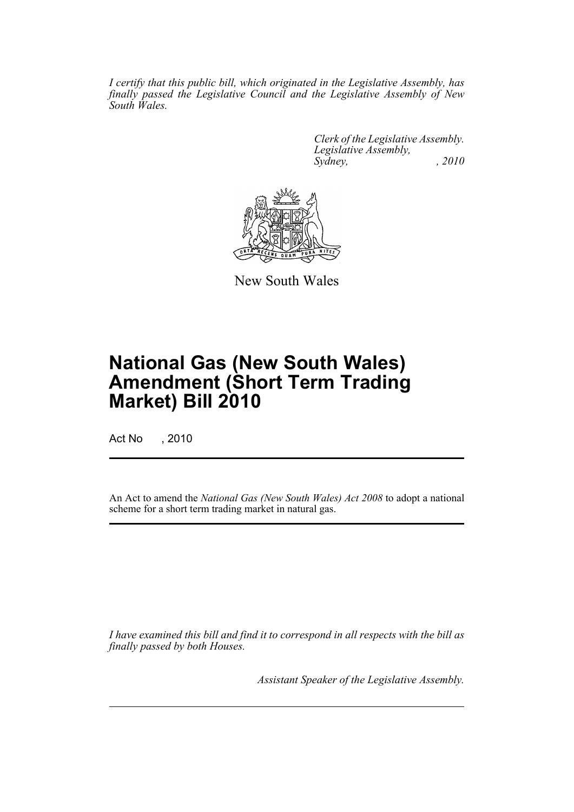*I certify that this public bill, which originated in the Legislative Assembly, has finally passed the Legislative Council and the Legislative Assembly of New South Wales.*

> *Clerk of the Legislative Assembly. Legislative Assembly, Sydney, , 2010*



New South Wales

# **National Gas (New South Wales) Amendment (Short Term Trading Market) Bill 2010**

Act No , 2010

An Act to amend the *National Gas (New South Wales) Act 2008* to adopt a national scheme for a short term trading market in natural gas.

*I have examined this bill and find it to correspond in all respects with the bill as finally passed by both Houses.*

*Assistant Speaker of the Legislative Assembly.*